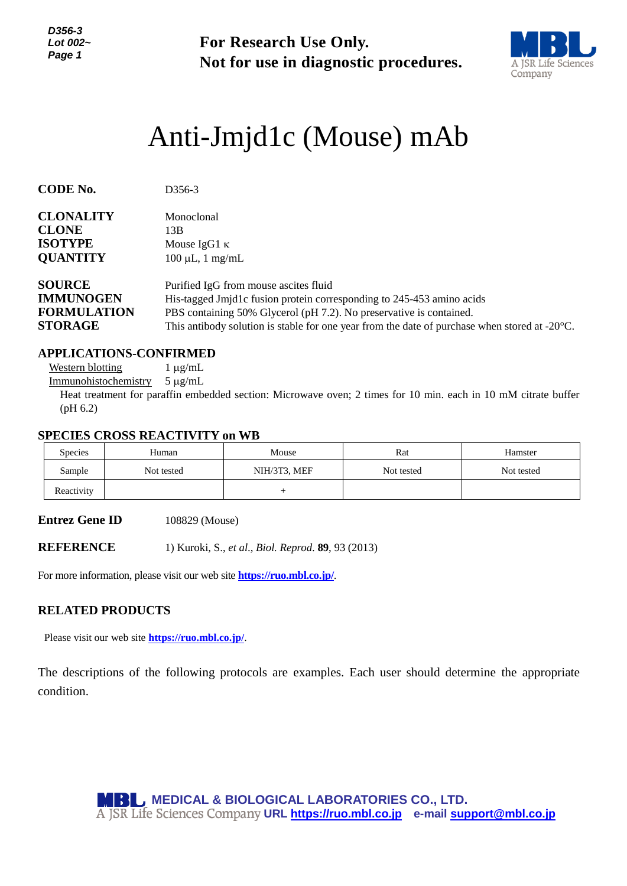*D356-3 Lot 002~ Page 1*

**For Research Use Only. Not for use in diagnostic procedures.**



# *<sup>1</sup>* Anti-Jmjd1c (Mouse) mAb

| <b>CODE No.</b>    | D <sub>356</sub> -3                                                                                     |  |  |  |
|--------------------|---------------------------------------------------------------------------------------------------------|--|--|--|
| <b>CLONALITY</b>   | Monoclonal                                                                                              |  |  |  |
| <b>CLONE</b>       | 13B                                                                                                     |  |  |  |
| <b>ISOTYPE</b>     | Mouse IgG1 $\kappa$                                                                                     |  |  |  |
| <b>QUANTITY</b>    | $100 \mu L$ , 1 mg/mL                                                                                   |  |  |  |
| <b>SOURCE</b>      | Purified IgG from mouse ascites fluid                                                                   |  |  |  |
| <b>IMMUNOGEN</b>   | His-tagged Jmjd1c fusion protein corresponding to 245-453 amino acids                                   |  |  |  |
| <b>FORMULATION</b> | PBS containing 50% Glycerol (pH 7.2). No preservative is contained.                                     |  |  |  |
| <b>STORAGE</b>     | This antibody solution is stable for one year from the date of purchase when stored at $-20^{\circ}$ C. |  |  |  |

#### **APPLICATIONS-CONFIRMED**

Western blotting  $1 \mu g/mL$ 

Immunohistochemistry  $5 \mu g/mL$ 

Heat treatment for paraffin embedded section: Microwave oven; 2 times for 10 min. each in 10 mM citrate buffer (pH 6.2)

#### **SPECIES CROSS REACTIVITY on WB**

| <b>Species</b> | Human      | Mouse        | Rat        | Hamster    |
|----------------|------------|--------------|------------|------------|
| Sample         | Not tested | NIH/3T3, MEF | Not tested | Not tested |
| Reactivity     |            |              |            |            |

**Entrez Gene ID** 108829 (Mouse)

**REFERENCE** 1) Kuroki, S., *et al*., *Biol. Reprod*. **89**, 93 (2013)

For more information, please visit our web site **<https://ruo.mbl.co.jp/>**.

#### **RELATED PRODUCTS**

Please visit our web site **<https://ruo.mbl.co.jp/>**.

The descriptions of the following protocols are examples. Each user should determine the appropriate condition.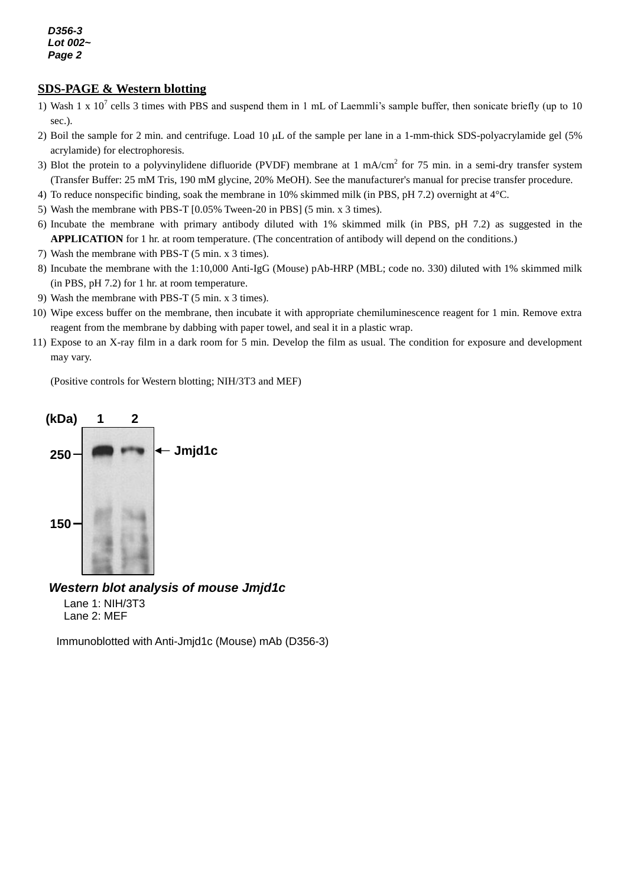*D356-3 Lot 002~ Page 2*

## *g* **SDS-PAGE & Western blotting**

- 1) Wash 1 x 10<sup>7</sup> cells 3 times with PBS and suspend them in 1 mL of Laemmli's sample buffer, then sonicate briefly (up to 10 sec.).
- 2) Boil the sample for 2 min. and centrifuge. Load 10 μL of the sample per lane in a 1-mm-thick SDS-polyacrylamide gel (5% acrylamide) for electrophoresis.
- 3) Blot the protein to a polyvinylidene difluoride (PVDF) membrane at 1 mA/cm<sup>2</sup> for 75 min. in a semi-dry transfer system (Transfer Buffer: 25 mM Tris, 190 mM glycine, 20% MeOH). See the manufacturer's manual for precise transfer procedure.
- 4) To reduce nonspecific binding, soak the membrane in 10% skimmed milk (in PBS, pH 7.2) overnight at 4°C.
- 5) Wash the membrane with PBS-T [0.05% Tween-20 in PBS] (5 min. x 3 times).
- 6) Incubate the membrane with primary antibody diluted with 1% skimmed milk (in PBS, pH 7.2) as suggested in the **APPLICATION** for 1 hr. at room temperature. (The concentration of antibody will depend on the conditions.)
- 7) Wash the membrane with PBS-T (5 min. x 3 times).
- 8) Incubate the membrane with the 1:10,000 Anti-IgG (Mouse) pAb-HRP (MBL; code no. 330) diluted with 1% skimmed milk (in PBS, pH 7.2) for 1 hr. at room temperature.
- 9) Wash the membrane with PBS-T (5 min. x 3 times).
- 10) Wipe excess buffer on the membrane, then incubate it with appropriate chemiluminescence reagent for 1 min. Remove extra reagent from the membrane by dabbing with paper towel, and seal it in a plastic wrap.
- 11) Expose to an X-ray film in a dark room for 5 min. Develop the film as usual. The condition for exposure and development may vary.

(Positive controls for Western blotting; NIH/3T3 and MEF)



### *Western blot analysis of mouse Jmjd1c*

Lane 1: NIH/3T3 Lane 2: MEF

Immunoblotted with Anti-Jmjd1c (Mouse) mAb (D356-3)